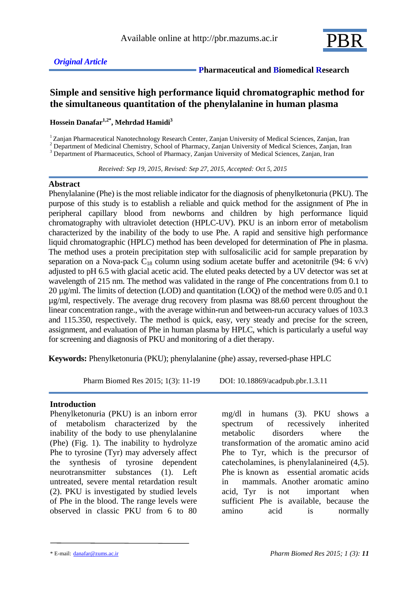

 **Pharmaceutical and Biomedical Research**

## **Simple and sensitive high performance liquid chromatographic method for the simultaneous quantitation of the phenylalanine in human plasma**

**Hossein Danafar1,2\* , Mehrdad Hamidi<sup>3</sup>**

<sup>1</sup>Zanjan Pharmaceutical Nanotechnology Research Center, Zanjan University of Medical Sciences, Zanjan, Iran

<sup>2</sup> Department of Medicinal Chemistry, School of Pharmacy, Zanjan University of Medical Sciences, Zanjan, Iran

<sup>3</sup> Department of Pharmaceutics, School of Pharmacy, Zanjan University of Medical Sciences, Zanjan, Iran

 *Received: Sep 19, 2015, Revised: Sep 27, 2015, Accepted: Oct 5, 2015*

### **Abstract**

Phenylalanine (Phe) is the most reliable indicator for the diagnosis of phenylketonuria (PKU). The purpose of this study is to establish a reliable and quick method for the assignment of Phe in peripheral capillary blood from newborns and children by high performance liquid chromatography with ultraviolet detection (HPLC-UV). PKU is an inborn error of metabolism characterized by the inability of the body to use Phe. A rapid and sensitive high performance liquid chromatographic (HPLC) method has been developed for determination of Phe in plasma. The method uses a protein precipitation step with sulfosalicilic acid for sample preparation by separation on a Nova-pack  $C_{18}$  column using sodium acetate buffer and acetonitrile (94: 6 v/v) adjusted to pH 6.5 with glacial acetic acid. The eluted peaks detected by a UV detector was set at wavelength of 215 nm. The method was validated in the range of Phe concentrations from 0.1 to 20 µg/ml. The limits of detection (LOD) and quantitation (LOQ) of the method were 0.05 and 0.1 µg/ml, respectively. The average drug recovery from plasma was 88.60 percent throughout the linear concentration range., with the average within-run and between-run accuracy values of 103.3 and 115.350, respectively. The method is quick, easy, very steady and precise for the screen, assignment, and evaluation of Phe in human plasma by HPLC, which is particularly a useful way for screening and diagnosis of PKU and monitoring of a diet therapy.

**Keywords:** Phenylketonuria (PKU); phenylalanine (phe) assay, reversed-phase HPLC

Pharm Biomed Res 2015; 1(3): 11-19 DOI: 10.18869/acadpub.pbr.1.3.11

### **Introduction**

Phenylketonuria (PKU) is an inborn error of metabolism characterized by the inability of the body to use phenylalanine (Phe) (Fig. 1). The inability to hydrolyze Phe to tyrosine (Tyr) may adversely affect the synthesis of tyrosine dependent neurotransmitter substances (1). Left untreated, severe mental retardation result (2). PKU is investigated by studied levels of Phe in the blood. The range levels were observed in classic PKU from 6 to 80

mg/dl in humans (3). PKU shows a spectrum of recessively inherited metabolic disorders where the transformation of the aromatic amino acid Phe to Tyr, which is the precursor of catecholamines, is phenylalanineired (4,5). Phe is known as essential aromatic acids in mammals. Another aromatic amino acid, Tyr is not important when sufficient Phe is available, because the amino acid is normally

<sup>\*</sup> E-mail: danafar@zums.ac.ir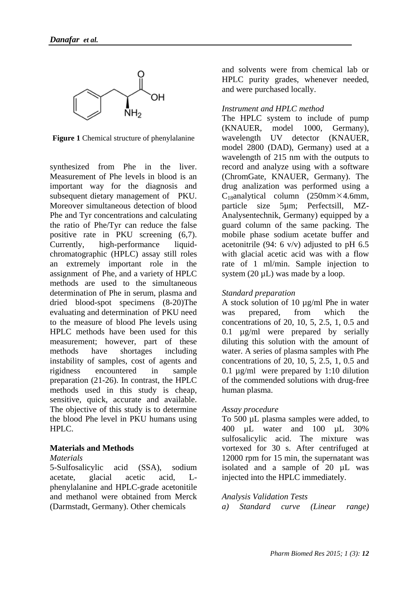

**Figure 1** Chemical structure of phenylalanine

synthesized from Phe in the liver. Measurement of Phe levels in blood is an important way for the diagnosis and subsequent dietary management of PKU. Moreover simultaneous detection of blood Phe and Tyr concentrations and calculating the ratio of Phe/Tyr can reduce the false positive rate in PKU screening (6,7). Currently, high-performance liquidchromatographic (HPLC) assay still roles an extremely important role in the assignment of Phe, and a variety of HPLC methods are used to the simultaneous determination of Phe in serum, plasma and dried blood-spot specimens (8-20)The evaluating and determination of PKU need to the measure of blood Phe levels using HPLC methods have been used for this measurement; however, part of these methods have shortages including instability of samples, cost of agents and rigidness encountered in sample preparation (21-26). In contrast, the HPLC methods used in this study is cheap, sensitive, quick, accurate and available. The objective of this study is to determine the blood Phe level in PKU humans using HPLC.

### **Materials and Methods**

#### *Materials*

5-Sulfosalicylic acid (SSA), sodium acetate, glacial acetic acid, Lphenylalanine and HPLC-grade acetonitile and methanol were obtained from Merck (Darmstadt, Germany). Other chemicals

and solvents were from chemical lab or HPLC purity grades, whenever needed, and were purchased locally.

### *Instrument and HPLC method*

The HPLC system to include of pump (KNAUER, model 1000, Germany), wavelength UV detector (KNAUER, model 2800 (DAD), Germany) used at a wavelength of 215 nm with the outputs to record and analyze using with a software (ChromGate, KNAUER, Germany). The drug analization was performed using a  $C_{18}$ analytical column (250mm×4.6mm, particle size 5µm; Perfectsill, MZ-Analysentechnik, Germany) equipped by a guard column of the same packing. The mobile phase sodium acetate buffer and acetonitrile (94: 6 v/v) adjusted to pH  $6.5$ with glacial acetic acid was with a flow rate of 1 ml/min. Sample injection to system (20  $\mu$ L) was made by a loop.

### *Standard preparation*

A stock solution of 10 µg/ml Phe in water was prepared, from which the concentrations of 20, 10, 5, 2.5, 1, 0.5 and 0.1 µg/ml were prepared by serially diluting this solution with the amount of water. A series of plasma samples with Phe concentrations of 20, 10, 5, 2.5, 1, 0.5 and 0.1 µg/ml were prepared by 1:10 dilution of the commended solutions with drug-free human plasma.

### *Assay procedure*

To 500 µL plasma samples were added, to 400 µL water and 100 µL 30% sulfosalicylic acid. The mixture was vortexed for 30 s. After centrifuged at 12000 rpm for 15 min, the supernatant was isolated and a sample of 20 µL was injected into the HPLC immediately.

### *Analysis Validation Tests*

*a) Standard curve (Linear range)*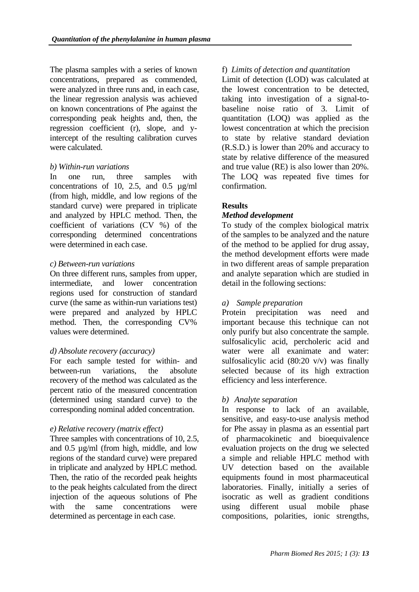The plasma samples with a series of known concentrations, prepared as commended, were analyzed in three runs and, in each case, the linear regression analysis was achieved on known concentrations of Phe against the corresponding peak heights and, then, the regression coefficient (r), slope, and yintercept of the resulting calibration curves were calculated.

### *b) Within-run variations*

In one run, three samples with concentrations of 10, 2.5, and 0.5 µg/ml (from high, middle, and low regions of the standard curve) were prepared in triplicate and analyzed by HPLC method. Then, the coefficient of variations (CV %) of the corresponding determined concentrations were determined in each case.

### *c) Between-run variations*

On three different runs, samples from upper, intermediate, and lower concentration regions used for construction of standard curve (the same as within-run variations test) were prepared and analyzed by HPLC method. Then, the corresponding CV% values were determined.

### *d) Absolute recovery (accuracy)*

For each sample tested for within- and between-run variations, the absolute recovery of the method was calculated as the percent ratio of the measured concentration (determined using standard curve) to the corresponding nominal added concentration.

### *e) Relative recovery (matrix effect)*

Three samples with concentrations of 10, 2.5, and 0.5 µg/ml (from high, middle, and low regions of the standard curve) were prepared in triplicate and analyzed by HPLC method. Then, the ratio of the recorded peak heights to the peak heights calculated from the direct injection of the aqueous solutions of Phe with the same concentrations were determined as percentage in each case.

# f) *Limits of detection and quantitation*

Limit of detection (LOD) was calculated at the lowest concentration to be detected, taking into investigation of a signal-tobaseline noise ratio of 3. Limit of quantitation (LOQ) was applied as the lowest concentration at which the precision to state by relative standard deviation (R.S.D.) is lower than 20% and accuracy to state by relative difference of the measured and true value (RE) is also lower than 20%. The LOQ was repeated five times for confirmation.

### **Results**

### *Method development*

To study of the complex biological matrix of the samples to be analyzed and the nature of the method to be applied for drug assay, the method development efforts were made in two different areas of sample preparation and analyte separation which are studied in detail in the following sections:

### *a) Sample preparation*

Protein precipitation was need and important because this technique can not only purify but also concentrate the sample. sulfosalicylic acid, percholeric acid and water were all exanimate and water: sulfosalicylic acid (80:20 v/v) was finally selected because of its high extraction efficiency and less interference.

### *b) Analyte separation*

In response to lack of an available, sensitive, and easy-to-use analysis method for Phe assay in plasma as an essential part of pharmacokinetic and bioequivalence evaluation projects on the drug we selected a simple and reliable HPLC method with UV detection based on the available equipments found in most pharmaceutical laboratories. Finally, initially a series of isocratic as well as gradient conditions using different usual mobile phase compositions, polarities, ionic strengths,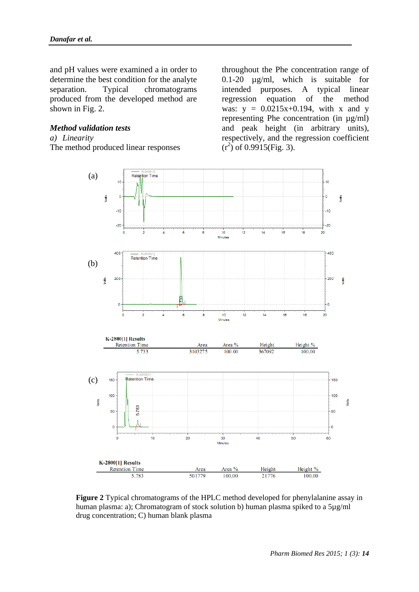and pH values were examined a in order to determine the best condition for the analyte separation. Typical chromatograms produced from the developed method are shown in Fig. 2.

### *Method validation tests*

#### *a) Linearity*

The method produced linear responses

throughout the Phe concentration range of 0.1-20 µg/ml, which is suitable for intended purposes. A typical linear regression equation of the method was:  $y = 0.0215x + 0.194$ , with x and y representing Phe concentration (in µg/ml) and peak height (in arbitrary units), respectively, and the regression coefficient  $(r^2)$  of 0.9915(Fig. 3).



**Figure 2** Typical chromatograms of the HPLC method developed for phenylalanine assay in human plasma: a); Chromatogram of stock solution b) human plasma spiked to a 5µg/ml drug concentration; C) human blank plasma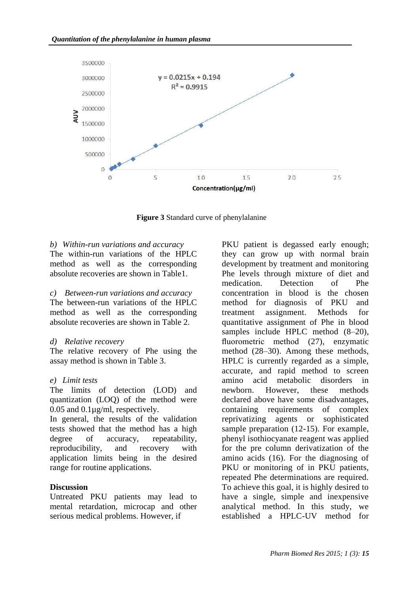

**Figure 3** Standard curve of phenylalanine

### *b) Within-run variations and accuracy*

The within-run variations of the HPLC method as well as the corresponding absolute recoveries are shown in Table1.

*c) Between-run variations and accuracy* The between-run variations of the HPLC method as well as the corresponding absolute recoveries are shown in Table 2.

### *d) Relative recovery*

The relative recovery of Phe using the assay method is shown in Table 3.

### *e) Limit tests*

The limits of detection (LOD) and quantization (LOQ) of the method were 0.05 and 0.1µg/ml, respectively.

In general, the results of the validation tests showed that the method has a high degree of accuracy, repeatability, reproducibility, and recovery with application limits being in the desired range for routine applications.

### **Discussion**

Untreated PKU patients may lead to mental retardation, microcap and other serious medical problems. However, if

PKU patient is degassed early enough; they can grow up with normal brain development by treatment and monitoring Phe levels through mixture of diet and medication. Detection of Phe concentration in blood is the chosen method for diagnosis of PKU and treatment assignment. Methods for quantitative assignment of Phe in blood samples include HPLC method  $(8-20)$ , fluorometric method (27), enzymatic method (28–30). Among these methods, HPLC is currently regarded as a simple, accurate, and rapid method to screen amino acid metabolic disorders in newborn. However, these methods declared above have some disadvantages, containing requirements of complex reprivatizing agents or sophisticated sample preparation (12-15). For example, phenyl isothiocyanate reagent was applied for the pre column derivatization of the amino acids (16). For the diagnosing of PKU or monitoring of in PKU patients. repeated Phe determinations are required. To achieve this goal, it is highly desired to have a single, simple and inexpensive analytical method. In this study, we established a HPLC-UV method for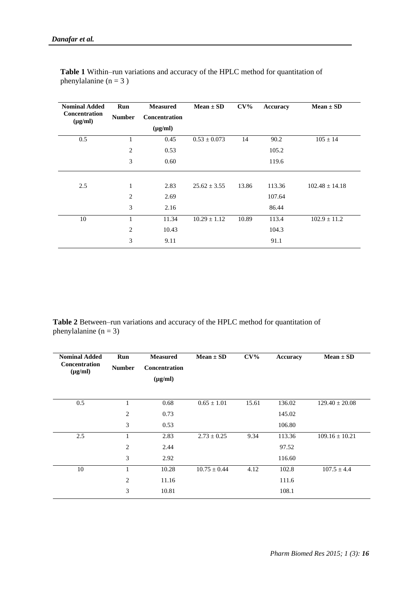| <b>Nominal Added</b><br><b>Concentration</b><br>$(\mu g/ml)$ | Run<br><b>Number</b> | <b>Measured</b><br>Concentration<br>$(\mu g/ml)$ | $Mean \pm SD$    | $CV\%$ | Accuracy | $Mean \pm SD$      |
|--------------------------------------------------------------|----------------------|--------------------------------------------------|------------------|--------|----------|--------------------|
| 0.5                                                          | 1                    | 0.45                                             | $0.53 \pm 0.073$ | 14     | 90.2     | $105 \pm 14$       |
|                                                              | 2                    | 0.53                                             |                  |        | 105.2    |                    |
|                                                              | 3                    | 0.60                                             |                  |        | 119.6    |                    |
|                                                              |                      |                                                  |                  |        |          |                    |
| 2.5                                                          | $\mathbf{1}$         | 2.83                                             | $25.62 \pm 3.55$ | 13.86  | 113.36   | $102.48 \pm 14.18$ |
|                                                              | 2                    | 2.69                                             |                  |        | 107.64   |                    |
|                                                              | 3                    | 2.16                                             |                  |        | 86.44    |                    |
| 10                                                           | $\mathbf{1}$         | 11.34                                            | $10.29 \pm 1.12$ | 10.89  | 113.4    | $102.9 \pm 11.2$   |
|                                                              | $\overline{2}$       | 10.43                                            |                  |        | 104.3    |                    |
|                                                              | 3                    | 9.11                                             |                  |        | 91.1     |                    |

**Table 1** Within–run variations and accuracy of the HPLC method for quantitation of phenylalanine  $(n = 3)$ 

**Table 2** Between–run variations and accuracy of the HPLC method for quantitation of phenylalanine  $(n = 3)$ 

| <b>Nominal Added</b><br><b>Concentration</b> | Run            | <b>Measured</b>                      | $Mean \pm SD$    | $CV\%$ | <b>Accuracy</b> | $Mean \pm SD$      |
|----------------------------------------------|----------------|--------------------------------------|------------------|--------|-----------------|--------------------|
| $(\mu g/ml)$                                 | <b>Number</b>  | <b>Concentration</b><br>$(\mu g/ml)$ |                  |        |                 |                    |
|                                              |                |                                      |                  |        |                 |                    |
| 0.5                                          | 1              | 0.68                                 | $0.65 \pm 1.01$  | 15.61  | 136.02          | $129.40 \pm 20.08$ |
|                                              | 2              | 0.73                                 |                  |        | 145.02          |                    |
|                                              | 3              | 0.53                                 |                  |        | 106.80          |                    |
| 2.5                                          | 1              | 2.83                                 | $2.73 \pm 0.25$  | 9.34   | 113.36          | $109.16 \pm 10.21$ |
|                                              | $\overline{2}$ | 2.44                                 |                  |        | 97.52           |                    |
|                                              | 3              | 2.92                                 |                  |        | 116.60          |                    |
| 10                                           | 1              | 10.28                                | $10.75 \pm 0.44$ | 4.12   | 102.8           | $107.5 \pm 4.4$    |
|                                              | 2              | 11.16                                |                  |        | 111.6           |                    |
|                                              | 3              | 10.81                                |                  |        | 108.1           |                    |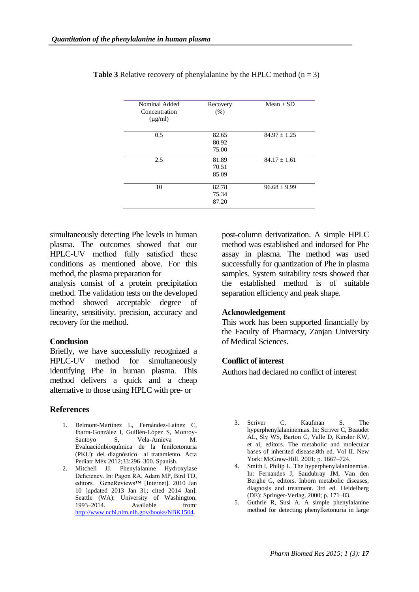| Nominal Added<br>Concentration | Recovery<br>(% ) | $Mean + SD$      |
|--------------------------------|------------------|------------------|
| $(\mu g/ml)$                   |                  |                  |
| 0.5                            | 82.65            | $84.97 \pm 1.25$ |
|                                | 80.92            |                  |
|                                | 75.00            |                  |
| 2.5                            | 81.89            | $84.17 \pm 1.61$ |
|                                | 70.51            |                  |
|                                | 85.09            |                  |
| 10                             | 82.78            | $96.68 \pm 9.99$ |
|                                | 75.34            |                  |
|                                | 87.20            |                  |
|                                |                  |                  |

**Table 3** Relative recovery of phenylalanine by the HPLC method  $(n = 3)$ 

simultaneously detecting Phe levels in human plasma. The outcomes showed that our HPLC-UV method fully satisfied these conditions as mentioned above. For this method, the plasma preparation for

analysis consist of a protein precipitation method. The validation tests on the developed method showed acceptable degree of linearity, sensitivity, precision, accuracy and recovery for the method.

### **Conclusion**

Briefly, we have successfully recognized a HPLC-UV method for simultaneously identifying Phe in human plasma. This method delivers a quick and a cheap alternative to those using HPLC with pre- or

### **References**

- 1. Belmont-Martínez L, Fernández-Lainez C, Ibarra-González I, Guillén-López S, Monroy-Santoyo S, Vela-Amieva M. Evaluaciónbioquímica de la fenilcetonuria (PKU): del diagnóstico al tratamiento. Acta Pediatr Méx 2012;33:296–300. Spanish.
- 2. Mitchell JJ. Phenylalanine Hydroxylase Deficiency. In: Pagon RA, Adam MP, Bird TD, editors. GeneReviews™ [Internet]. 2010 Jan 10 [updated 2013 Jan 31; cited 2014 Jan]. Seattle (WA): University of Washington; 1993–2014. Available from: [http://www.ncbi.nlm.nih.gov/books/NBK1504.](http://www.ncbi.nlm.nih.gov/books/NBK1504)

post-column derivatization. A simple HPLC method was established and indorsed for Phe assay in plasma. The method was used successfully for quantization of Phe in plasma samples. System suitability tests showed that the established method is of suitable separation efficiency and peak shape.

### **Acknowledgement**

This work has been supported financially by the Faculty of Pharmacy, Zanjan University of Medical Sciences.

### **Conflict of interest**

Authors had declared no conflict of interest

- 3. Scriver C, Kaufman S. The hyperphenylalaninemias. In: Scriver C, Beaudet AL, Sly WS, Barton C, Valle D, Kinsler KW, et al, editors. The metabolic and molecular bases of inherited disease.8th ed. Vol II. New York: McGraw-Hill. 2001; p. 1667–724.
- 4. Smith I, Philip L. The hyperphenylalaninemias. In: Fernandes J, Saudubray JM, Van den Berghe G, editors. Inborn metabolic diseases, diagnosis and treatment. 3rd ed. Heidelberg (DE): Springer-Verlag. 2000; p. 171–83.
- 5. Guthrie R, Susi A. A simple phenylalanine method for detecting phenylketonuria in large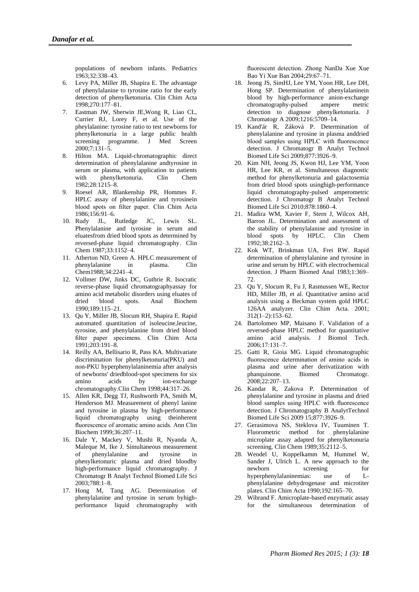populations of newborn infants. Pediatrics 1963;32:338–43.

- 6. Levy PA, Miller JB, Shapira E. The advantage of phenylalanine to tyrosine ratio for the early detection of phenylketonuria. Clin Chim Acta 1998;270:177–81.
- 7. Eastman JW, Sherwin JE,Wong R, Liao CL, Currier RJ, Lorey F, et al. Use of the pheylalanine: tyrosine ratio to test newborns for phenylketonuria in a large public health screening programme. J Med Screen 2000;7:131–5.
- 8. Hilton MA. Liquid-chromatographic direct determination of phenylalanine andtyrosine in serum or plasma, with application to patients with phenylketonuria. Clin Chem 1982;28:1215–8.
- 9. Roesel AR, Blankenship PR, Hommes F. HPLC assay of phenylalanine and tyrosinein blood spots on filter paper. Clin Chim Acta 1986;156:91–6.
- 10. Rudy JL, Rutledge JC, Lewis SL. Phenylalanine and tyrosine in serum and eluatesfrom dried blood spots as determined by reversed-phase liquid chromatography. Clin Chem 1987;33:1152–4.
- 11. Atherton ND, Green A. HPLC measurement of phenylalanine in plasma. Clin Chem1988;34:2241–4.
- 12. Vollmer DW, Jinks DC, Guthrie R. Isocratic reverse-phase liquid chromatographyassay for amino acid metabolic disorders using eluates of dried blood spots. Anal Biochem 1990;189:115–21.
- 13. Qu Y, Miller JB, Slocum RH, Shapira E. Rapid automated quantitation of isoleucine,leucine, tyrosine, and phenylalanine from dried blood filter paper specimens. Clin Chim Acta 1991;203:191–8.
- 14. Reilly AA, Bellisario R, Pass KA. Multivariate discrimination for phenylketonuria(PKU) and non-PKU hyperphenylalaninemia after analysis of newborns' driedblood-spot specimens for six amino acids by ion-exchange chromatography.Clin Chem 1998;44:317–26.
- 15. Allen KR, Degg TJ, Rushworth PA, Smith M, Henderson MJ. Measurement of phenyl lanine and tyrosine in plasma by high-performance liquid chromatography using theinherent fluorescence of aromatic amino acids. Ann Clin Biochem 1999;36:207–11.
- 16. Dale Y, Mackey V, Mushi R, Nyanda A, Maleque M, Ike J. Simultaneous measurement of phenylalanine and tyrosine in phenylketonuric plasma and dried bloodby high-performance liquid chromatography. J Chromatogr B Analyt Technol Biomed Life Sci 2003;788:1–8.
- 17. Hong M, Tang AG. Determination of phenylalanine and tyrosine in serum byhighperformance liquid chromatography with

fluorescent detection. Zhong NanDa Xue Xue Bao Yi Xue Ban 2004;29:67–71.

- 18. Jeong JS, SimHJ, Lee YM, Yoon HR, Lee DH, Hong SP. Determination of phenylalaninein blood by high-performance anion-exchange chromatography-pulsed ampere metric detection to diagnose phenylketonuria. J Chromatogr A 2009;1216:5709–14.
- 19. Kand'ár R, Záková P. Determination of phenylalanine and tyrosine in plasma anddried blood samples using HPLC with fluorescence detection. J Chromatogr B Analyt Technol Biomed Life Sci 2009;877:3926–9.
- 20. Kim NH, Jeong JS, Kwon HJ, Lee YM, Yoon HR, Lee KR, et al. Simultaneous diagnostic method for phenylketonuria and galactosemia from dried blood spots usinghigh-performance liquid chromatography-pulsed amperometric detection. J Chromatogr B Analyt Technol Biomed Life Sci 2010;878:1860–4.
- 21. Madira WM, Xavier F, Stern J, Wilcox AH, Barron JL. Determination and assessment of the stability of phenylalanine and tyrosine in blood spots by HPLC. Clin Chem 1992;38:2162–3.
- 22. Kok WT, Brinkman UA, Frei RW. Rapid determination of phenylalanine and tyrosine in urine and serum by HPLC with electrochemical detection. J Pharm Biomed Anal 1983;1:369– 72.
- 23. Qu Y, Slocum R, Fu J, Rasmussen WE, Rector HD, Miller JB, et al. Quantitative amino acid analysis using a Beckman system gold HPLC 126AA analyzer. Clin Chim Acta. 2001; 312(1–2):153–62.
- 24. Bartolomeo MP, Maisano F. Validation of a reversed-phase HPLC method for quantitative amino acid analysis. J Biomol Tech. 2006;17:131–7.
- 25. Gatti R, Gioia MG. Liquid chromatographic fluorescence determination of amino acids in plasma and urine after derivatization with phanquinone. Biomed Chromatogr.  $2008:22:207-13.$
- 26. Kandar R, Zakova P. Determination of phenylalanine and tyrosine in plasma and dried blood samples using HPLC with fluorescence detection. J Chromatography B AnalytTechnol Biomed Life Sci 2009 15;877:3926–9.
- 27. Gerasimova NS, Steklova IV, Tuuminen T. Fluorometric method for phenylalanine microplate assay adapted for phenylketonuria screening. Clin Chem 1989;35:2112–5.
- 28. Wendel U, Koppelkamm M, Hummel W, Sander J, Ulrich L. A new approach to the newborn screening for hyperphenylalaninemias: use of Lphenylalanine dehydrogenase and microtiter plates. Clin Chim Acta 1990;192:165–70.
- 29. Wibrand F. Amicroplate-based enzymatic assay for the simultaneous determination of